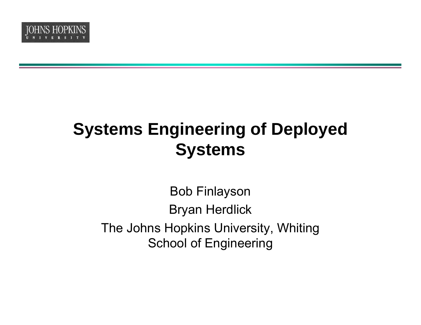

# **Systems Engineering of Deployed Systems**

Bob Finlayson Bryan Herdlick The Johns Hopkins University, Whiting School of Engineering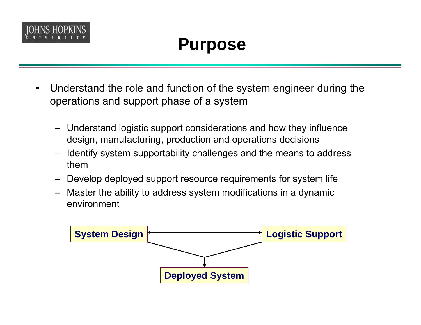

- • Understand the role and function of the system engineer during the operations and support phase of a system
	- Understand logistic support considerations and how they influence design, manufacturing, production and operations decisions
	- Identify system supportability challenges and the means to address them
	- Develop deployed support resource requirements for system life
	- Master the ability to address system modifications in a dynamic environment

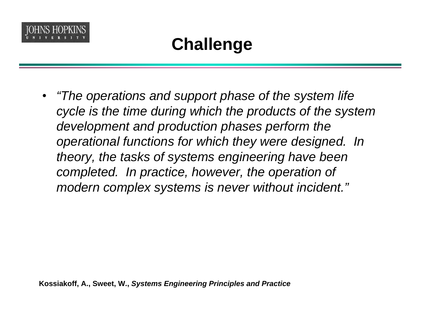

• *"The operations and support phase of the system life cycle is the time during which the products of the system development and production phases perform the operational functions for which they were designed. In theory, the tasks of systems engineering have been completed. In practice, however, the operation of modern complex systems is never without incident."*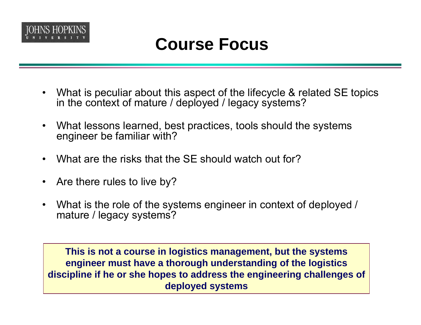

- $\bullet$  What is peculiar about this aspect of the lifecycle & related SE topics in the context of mature / deployed / legacy systems?
- $\bullet$  What lessons learned, best practices, tools should the systems engineer be familiar with?
- •What are the risks that the SF should watch out for?
- •Are there rules to live by?
- • What is the role of the systems engineer in context of deployed / mature / legacy systems?

**This is not a course in logistics management, but the systems engineer must have a thorough understanding of the logistics discipline if he or she hopes to address the engineering challenges of deployed systems**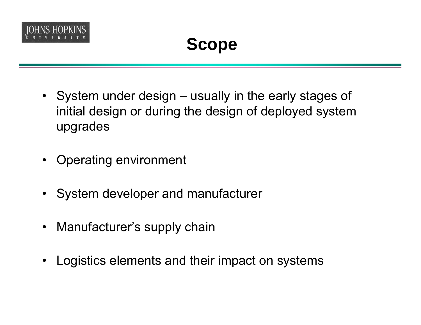

- System under design usually in the early stages of initial design or during the design of deployed system upgrades
- $\bullet$ Operating environment
- System developer and manufacturer
- $\bullet$ Manufacturer's supply chain
- •Logistics elements and their impact on systems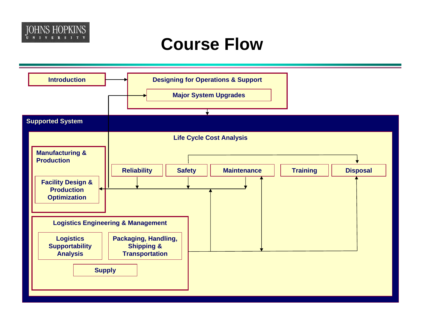

### **Course Flow**

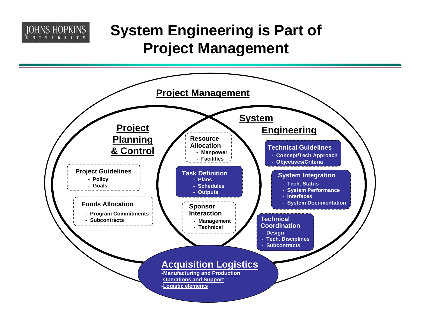

#### **System Engineering is Part of Project Management**

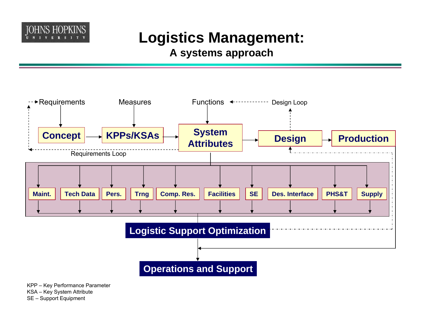

#### **Logistics Management:**

**A systems approach**



KPP – Key Performance Parameter KSA – Key System Attribute SE – Support Equipment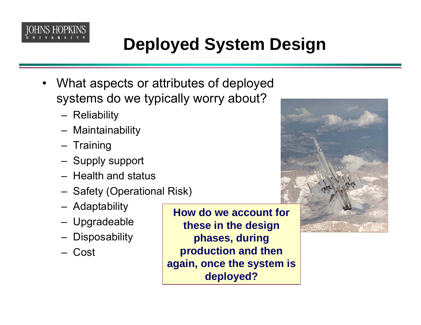

# **Deployed System Design**

- What aspects or attributes of deployed systems do we typically worry about?
	- –Reliability
	- –Maintainability
	- –Training
	- –Supply support
	- Health and status
	- –Safety (Operational Risk)
	- –Adaptability
	- –Upgradeable
	- –Disposability
	- Cost

**How do we account for these in the design phases, during production and then again, once the system is deployed?**

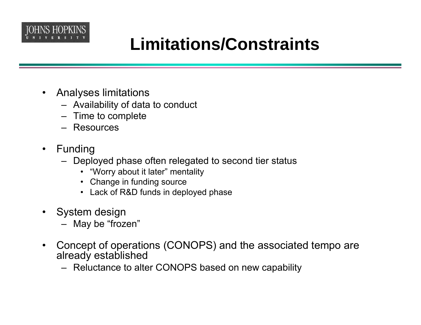

## **Limitations/Constraints**

- $\bullet$  Analyses limitations
	- Availability of data to conduct
	- Time to complete
	- Resources
- $\bullet$  Funding
	- Deployed phase often relegated to second tier status
		- "Worry about it later" mentality
		- Change in funding source
		- Lack of R&D funds in deployed phase
- • System design
	- May be "frozen"
- • Concept of operations (CONOPS) and the associated tempo are already established
	- Reluctance to alter CONOPS based on new capability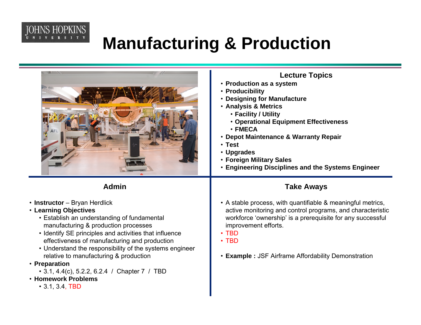

### **Manufacturing & Production**

|                                                                                                                                                                                                                                                                                                                                                                                                                                                                                               | <b>Lecture Topics</b><br>• Production as a system<br>• Producibility<br>• Designing for Manufacture<br>· Analysis & Metrics<br>• Facility / Utility<br>• Operational Equipment Effectiveness<br>$\cdot$ FMECA<br>• Depot Maintenance & Warranty Repair<br>$\cdot$ Test<br>• Upgrades<br>• Foreign Military Sales<br><b>• Engineering Disciplines and the Systems Engineer</b> |
|-----------------------------------------------------------------------------------------------------------------------------------------------------------------------------------------------------------------------------------------------------------------------------------------------------------------------------------------------------------------------------------------------------------------------------------------------------------------------------------------------|-------------------------------------------------------------------------------------------------------------------------------------------------------------------------------------------------------------------------------------------------------------------------------------------------------------------------------------------------------------------------------|
| <b>Admin</b>                                                                                                                                                                                                                                                                                                                                                                                                                                                                                  | <b>Take Aways</b>                                                                                                                                                                                                                                                                                                                                                             |
| • Instructor - Bryan Herdlick<br><b>• Learning Objectives</b><br>• Establish an understanding of fundamental<br>manufacturing & production processes<br>• Identify SE principles and activities that influence<br>effectiveness of manufacturing and production<br>• Understand the responsibility of the systems engineer<br>relative to manufacturing & production<br>• Preparation<br>• 3.1, 4.4(c), 5.2.2, 6.2.4 / Chapter 7 / TBD<br><b>· Homework Problems</b><br>$\cdot$ 3.1, 3.4, TBD | • A stable process, with quantifiable & meaningful metrics,<br>active monitoring and control programs, and characteristic<br>workforce 'ownership' is a prerequisite for any successful<br>improvement efforts.<br>$\cdot$ TBD<br>$\cdot$ TBD<br>• Example : JSF Airframe Affordability Demonstration                                                                         |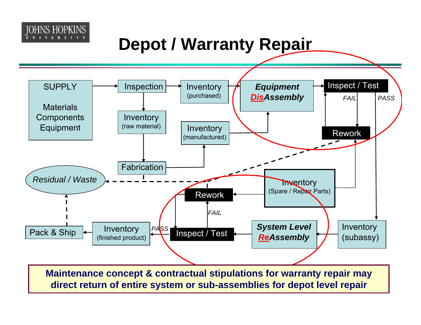# **Depot / Warranty Repair**

JOHNS HOPKINS



**Maintenance concept & contractual stipulations for warranty repair may direct return of entire system or sub-assemblies for depot level repair**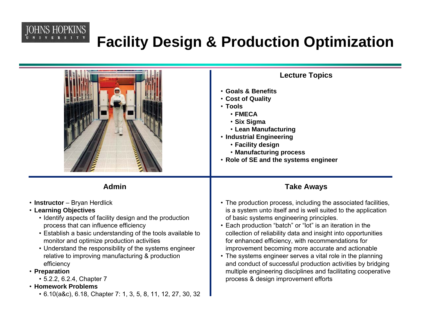

•

•

#### **Facility Design & Production Optimization**

|                                                                                                                                                                                                                                                                                                                                                                                                                                                                                                                                                          | <b>Lecture Topics</b><br><b>· Goals &amp; Benefits</b><br>• Cost of Quality<br>$\cdot$ Tools<br>$\cdot$ FMECA<br>• Six Sigma<br>• Lean Manufacturing<br>. Industrial Engineering<br>• Facility design<br>• Manufacturing process<br>• Role of SE and the systems engineer                                                                                                                                                                                                                                                                                                                                                                                 |
|----------------------------------------------------------------------------------------------------------------------------------------------------------------------------------------------------------------------------------------------------------------------------------------------------------------------------------------------------------------------------------------------------------------------------------------------------------------------------------------------------------------------------------------------------------|-----------------------------------------------------------------------------------------------------------------------------------------------------------------------------------------------------------------------------------------------------------------------------------------------------------------------------------------------------------------------------------------------------------------------------------------------------------------------------------------------------------------------------------------------------------------------------------------------------------------------------------------------------------|
| <b>Admin</b>                                                                                                                                                                                                                                                                                                                                                                                                                                                                                                                                             | <b>Take Aways</b>                                                                                                                                                                                                                                                                                                                                                                                                                                                                                                                                                                                                                                         |
| • Instructor - Bryan Herdlick<br><b>• Learning Objectives</b><br>• Identify aspects of facility design and the production<br>process that can influence efficiency<br>• Establish a basic understanding of the tools available to<br>monitor and optimize production activities<br>• Understand the responsibility of the systems engineer<br>relative to improving manufacturing & production<br>efficiency<br>• Preparation<br>• 5.2.2, 6.2.4, Chapter 7<br><b>• Homework Problems</b><br>• 6.10(a&c), 6.18, Chapter 7: 1, 3, 5, 8, 11, 12, 27, 30, 32 | • The production process, including the associated facilities,<br>is a system unto itself and is well suited to the application<br>of basic systems engineering principles.<br>• Each production "batch" or "lot" is an iteration in the<br>collection of reliability data and insight into opportunities<br>for enhanced efficiency, with recommendations for<br>improvement becoming more accurate and actionable<br>• The systems engineer serves a vital role in the planning<br>and conduct of successful production activities by bridging<br>multiple engineering disciplines and facilitating cooperative<br>process & design improvement efforts |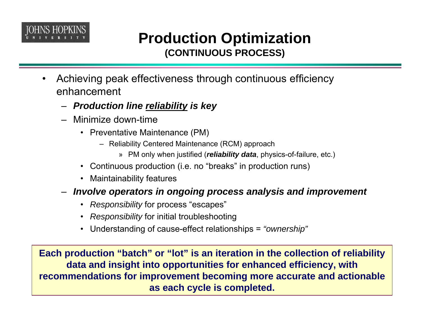

#### **Production Optimization (CONTINUOUS PROCESS)**

- • Achieving peak effectiveness through continuous efficiency enhancement
	- *Production line reliability is key*
	- Minimize down-time
		- Preventative Maintenance (PM)
			- Reliability Centered Maintenance (RCM) approach
				- » PM only when justified (*reliability data*, physics-of-failure, etc.)
		- Continuous production (i.e. no "breaks" in production runs)
		- •Maintainability features
	- *Involve operators in ongoing process analysis and improvement*
		- •*Responsibility* for process "escapes"
		- $\bullet$ *Responsibility* for initial troubleshooting
		- Understanding of cause-effect relationships = *"ownership"*

**Each production "batch" or "lot" is an iteration in the collection of reliability data and insight into opportunities for enhanced efficiency, with recommendations for improvement becoming more accurate and actionable as each cycle is completed.**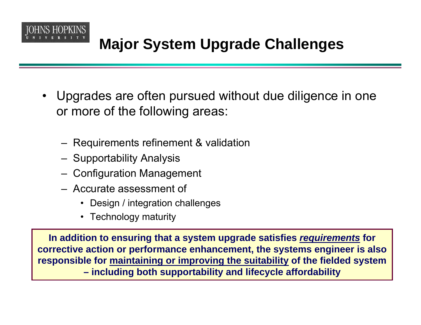

### **Major System Upgrade Challenges**

- • Upgrades are often pursued without due diligence in one or more of the following areas:
	- –Requirements refinement & validation
	- Supportability Analysis
	- –Configuration Management
	- Accurate assessment of
		- Design / integration challenges
		- Technology maturity

**In addition to ensuring that a system upgrade satisfies** *requirements* **for corrective action or performance enhancement, the systems engineer is also responsible for maintaining or improving the suitability of the fielded system – including both supportability and lifecycle affordability**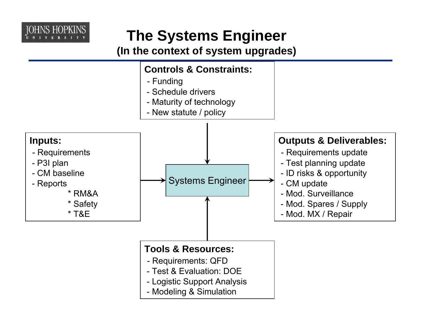

#### **The Systems Engineer**

**(In the context of system upgrades)**

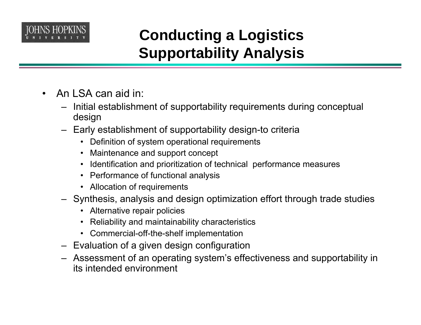

### **Conducting a Logistics Supportability Analysis**

- • An LSA can aid in:
	- Initial establishment of supportability requirements during conceptual design
	- Early establishment of supportability design-to criteria
		- Definition of system operational requirements
		- Maintenance and support concept
		- •Identification and prioritization of technical performance measures
		- Performance of functional analysis
		- Allocation of requirements
	- Synthesis, analysis and design optimization effort through trade studies
		- Alternative repair policies
		- Reliability and maintainability characteristics
		- Commercial-off-the-shelf implementation
	- Evaluation of a given design configuration
	- Assessment of an operating system's effectiveness and supportability in its intended environment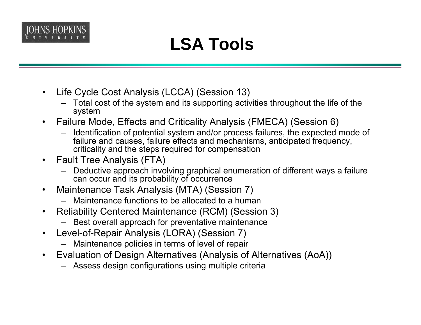

# **LSA Tools**

- • Life Cycle Cost Analysis (LCCA) (Session 13)
	- Total cost of the system and its supporting activities throughout the life of the system
- • Failure Mode, Effects and Criticality Analysis (FMECA) (Session 6)
	- Identification of potential system and/or process failures, the expected mode of failure and causes, failure effects and mechanisms, anticipated frequency, criticality and the steps required for compensation
- $\bullet$  Fault Tree Analysis (FTA)
	- Deductive approach involving graphical enumeration of different ways a failure can occur and its probability of occurrence
- • Maintenance Task Analysis (MTA) (Session 7)
	- Maintenance functions to be allocated to a human
- • Reliability Centered Maintenance (RCM) (Session 3)
	- Best overall approach for preventative maintenance
- • Level-of-Repair Analysis (LORA) (Session 7)
	- Maintenance policies in terms of level of repair
- • Evaluation of Design Alternatives (Analysis of Alternatives (AoA))
	- Assess design configurations using multiple criteria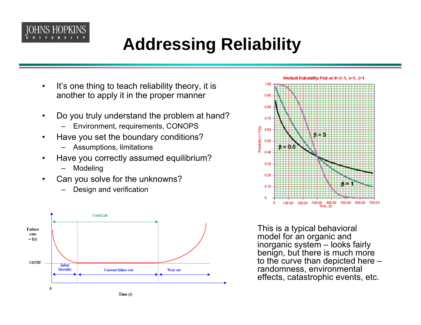

## **Addressing Reliability**

- •It's one thing to teach reliability theory, it is another to apply it in the proper manner
- • Do you truly understand the problem at hand?
	- –Environment, requirements, CONOPS
- • Have you set the boundary conditions?
	- –Assumptions, limitations
- • Have you correctly assumed equilibrium?
	- –Modeling
- • Can you solve for the unknowns?
	- –Design and verification





This is a typical behavioral model for an organic and inorganic system – looks fairly benign, but there is much more to the curve than depicted here – randomness, environmental effects, catastrophic events, etc.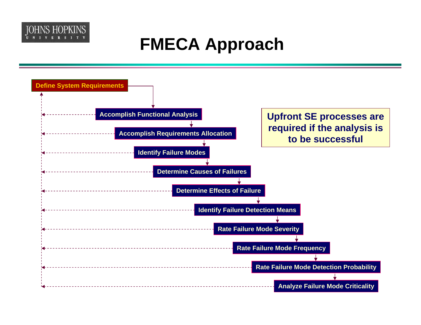

### **FMECA Approach**

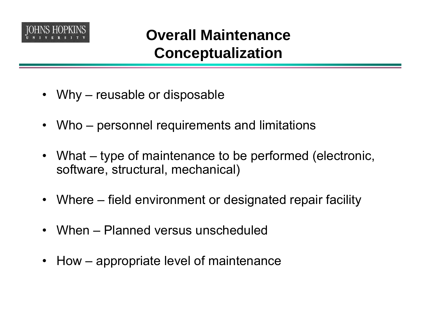

#### **Overall Maintenance Conceptualization**

- Why reusable or disposable
- Who personnel requirements and limitations
- What type of maintenance to be performed (electronic, software, structural, mechanical)
- Where field environment or designated repair facility
- When Planned versus unscheduled
- How appropriate level of maintenance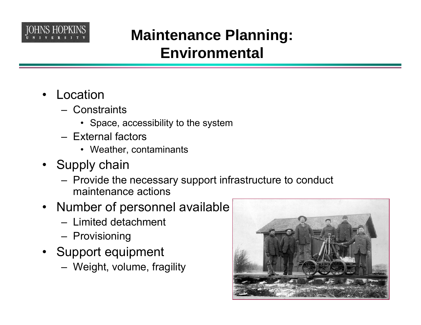

### **Maintenance Planning: Environmental**

- • Location
	- Constraints
		- Space, accessibility to the system
	- External factors
		- Weather, contaminants
- Supply chain
	- – Provide the necessary support infrastructure to conduct maintenance actions
- Number of personnel available
	- Limited detachment
	- –Provisioning
- Support equipment
	- –Weight, volume, fragility

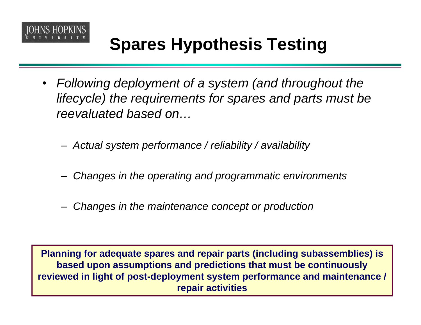

# **Spares Hypothesis Testing**

- *Following deployment of a system (and throughout the lifecycle) the requirements for spares and parts must be reevaluated based on…*
	- –*Actual system performance / reliability / availability*
	- –*Changes in the operating and programmatic environments*
	- –*Changes in the maintenance concept or production*

**Planning for adequate spares and repair parts (including subassemblies) is based upon assumptions and predictions that must be continuously reviewed in light of post-deployment system performance and maintenance / repair activities**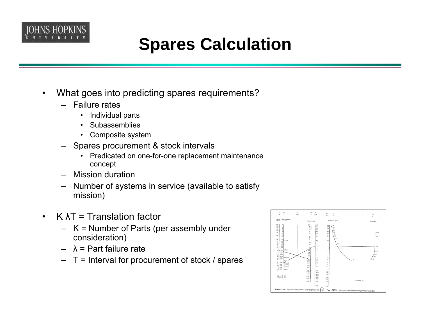

## **Spares Calculation**

- • What goes into predicting spares requirements?
	- Failure rates
		- •Individual parts
		- •Subassemblies
		- •Composite system
	- – Spares procurement & stock intervals
		- • Predicated on one-for-one replacement maintenance concept
	- Mission duration
	- Number of systems in service (available to satisfy mission)
- • K λT = Translation factor
	- K = Number of Parts (per assembly under consideration)
	- –λ = Part failure rate
	- T = Interval for procurement of stock / spares

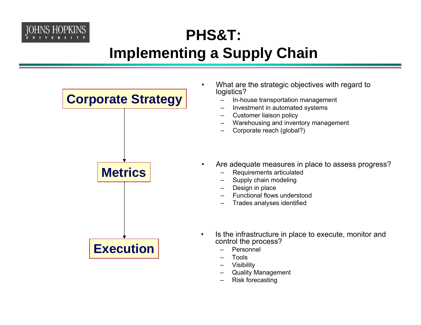

### **PHS&T: Implementing a Supply Chain**

•



- What are the strategic objectives with regard to logistics?
	- –In-house transportation management
	- –Investment in automated systems
	- –Customer liaison policy
	- Warehousing and inventory management
	- Corporate reach (global?)
- • Are adequate measures in place to assess progress?
	- –Requirements articulated
	- Supply chain modeling
	- Design in place
	- –Functional flows understood
	- –Trades analyses identified
- • Is the infrastructure in place to execute, monitor and control the process?
	- Personnel
	- Tools
	- Visibility
	- Quality Management
	- Risk forecasting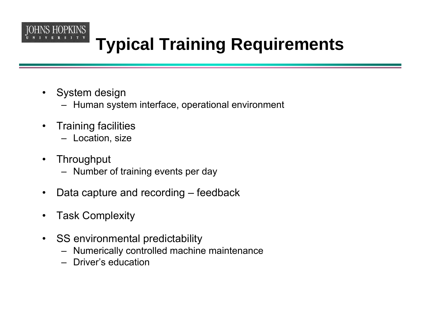

- $\bullet$  System design
	- Human system interface, operational environment
- • Training facilities
	- Location, size
- $\bullet$ **Throughput** 
	- Number of training events per day
- •Data capture and recording – feedback
- •Task Complexity
- • SS environmental predictability
	- Numerically controlled machine maintenance
	- Driver's education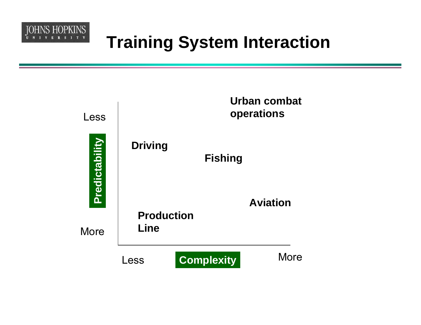

# **Training System Interaction**

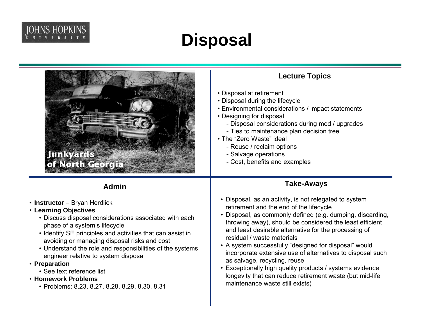

### **Disposal**

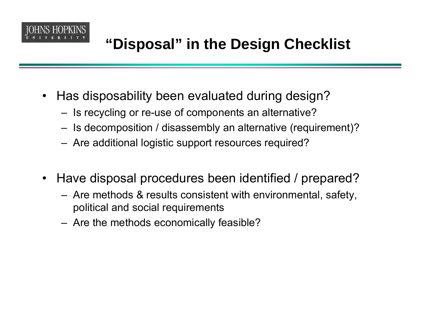

- $\bullet$  Has disposability been evaluated during design?
	- –Is recycling or re-use of components an alternative?
	- –Is decomposition / disassembly an alternative (requirement)?
	- –Are additional logistic support resources required?
- $\bullet$  Have disposal procedures been identified / prepared?
	- – Are methods & results consistent with environmental, safety, political and social requirements
	- –Are the methods economically feasible?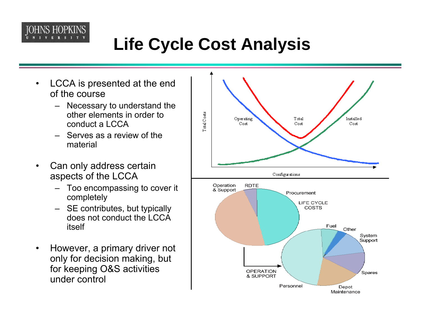

# **Life Cycle Cost Analysis**

- • LCCA is presented at the end of the course
	- Necessary to understand the other elements in order to conduct a LCCA
	- Serves as a review of the material
- • Can only address certain aspects of the LCCA
	- – Too encompassing to cover it completely
	- SE contributes, but typically does not conduct the LCCA itself
- • However, a primary driver not only for decision making, but for keeping O&S activities under control

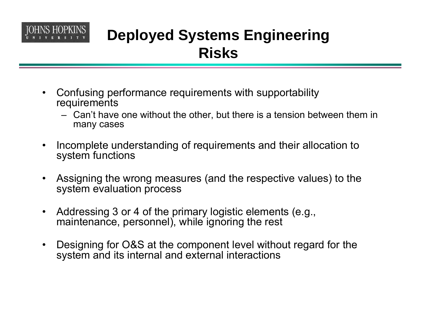

### **Deployed Systems Engineering Risks**

- $\bullet$  Confusing performance requirements with supportability requirements
	- Can't have one without the other, but there is a tension between them in many cases
- • Incomplete understanding of requirements and their allocation to system functions
- • Assigning the wrong measures (and the respective values) to the system evaluation process
- • Addressing 3 or 4 of the primary logistic elements (e.g., maintenance, personnel), while ignoring the rest
- • Designing for O&S at the component level without regard for the system and its internal and external interactions